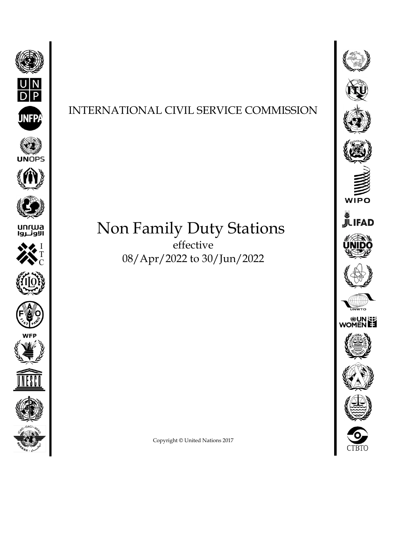

## INTERNATIONAL CIVIL SERVICE COMMISSION

## Non Family Duty Stations effective

08/Apr/2022 to 30/Jun/2022



Copyright © United Nations 2017

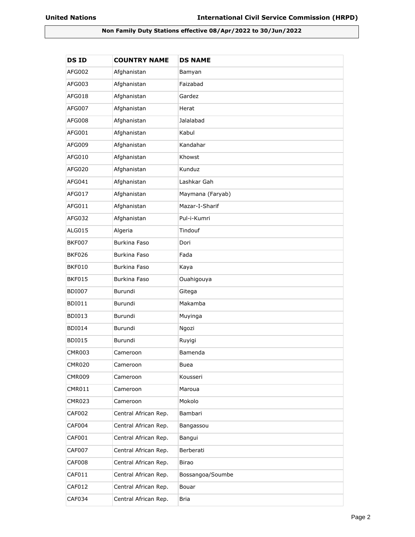## **Non Family Duty Stations effective 08/Apr/2022 to 30/Jun/2022**

| <b>DSID</b>   | <b>COUNTRY NAME</b>  | <b>DS NAME</b>   |
|---------------|----------------------|------------------|
| AFG002        | Afghanistan          | Bamyan           |
| AFG003        | Afghanistan          | Faizabad         |
| AFG018        | Afghanistan          | Gardez           |
| AFG007        | Afghanistan          | Herat            |
| AFG008        | Afghanistan          | Jalalabad        |
| AFG001        | Afghanistan          | Kabul            |
| AFG009        | Afghanistan          | Kandahar         |
| AFG010        | Afghanistan          | Khowst           |
| AFG020        | Afghanistan          | Kunduz           |
| AFG041        | Afghanistan          | Lashkar Gah      |
| AFG017        | Afghanistan          | Maymana (Faryab) |
| AFG011        | Afghanistan          | Mazar-I-Sharif   |
| AFG032        | Afghanistan          | Pul-i-Kumri      |
| ALG015        | Algeria              | Tindouf          |
| <b>BKF007</b> | Burkina Faso         | Dori             |
| <b>BKF026</b> | Burkina Faso         | Fada             |
| <b>BKF010</b> | Burkina Faso         | Kaya             |
| <b>BKF015</b> | Burkina Faso         | Ouahigouya       |
| <b>BDI007</b> | Burundi              | Gitega           |
| <b>BDI011</b> | Burundi              | Makamba          |
| <b>BDI013</b> | Burundi              | Muyinga          |
| <b>BDI014</b> | Burundi              | Ngozi            |
| <b>BDI015</b> | Burundi              | Ruyigi           |
| <b>CMR003</b> | Cameroon             | Bamenda          |
| <b>CMR020</b> | Cameroon             | <b>Buea</b>      |
| <b>CMR009</b> | Cameroon             | Kousseri         |
| <b>CMR011</b> | Cameroon             | Maroua           |
| <b>CMR023</b> | Cameroon             | Mokolo           |
| <b>CAF002</b> | Central African Rep. | Bambari          |
| CAF004        | Central African Rep. | Bangassou        |
| CAF001        | Central African Rep. | Bangui           |
| <b>CAF007</b> | Central African Rep. | Berberati        |
| CAF008        | Central African Rep. | Birao            |
| CAF011        | Central African Rep. | Bossangoa/Soumbe |
| CAF012        | Central African Rep. | Bouar            |
| CAF034        | Central African Rep. | <b>Bria</b>      |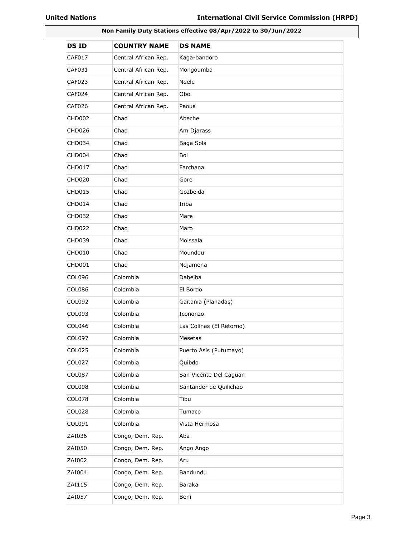|                    | Non Family Duty Stations effective 08/Apr/2022 to 30/Jun/2022 |                          |  |
|--------------------|---------------------------------------------------------------|--------------------------|--|
| <b>DSID</b>        | <b>COUNTRY NAME</b>                                           | <b>DS NAME</b>           |  |
| <b>CAF017</b>      | Central African Rep.                                          | Kaga-bandoro             |  |
| CAF031             | Central African Rep.                                          | Mongoumba                |  |
| <b>CAF023</b>      | Central African Rep.                                          | Ndele                    |  |
| CAF024             | Central African Rep.                                          | Obo                      |  |
| <b>CAF026</b>      | Central African Rep.                                          | Paoua                    |  |
| <b>CHD002</b>      | Chad                                                          | Abeche                   |  |
| CHD <sub>026</sub> | Chad                                                          | Am Djarass               |  |
| CHD034             | Chad                                                          | Baga Sola                |  |
| CHD004             | Chad                                                          | Bol                      |  |
| <b>CHD017</b>      | Chad                                                          | Farchana                 |  |
| <b>CHD020</b>      | Chad                                                          | Gore                     |  |
| <b>CHD015</b>      | Chad                                                          | Gozbeida                 |  |
| CHD014             | Chad                                                          | Iriba                    |  |
| <b>CHD032</b>      | Chad                                                          | Mare                     |  |
| <b>CHD022</b>      | Chad                                                          | Maro                     |  |
| <b>CHD039</b>      | Chad                                                          | Moissala                 |  |
| <b>CHD010</b>      | Chad                                                          | Moundou                  |  |
| CHD001             | Chad                                                          | Ndjamena                 |  |
| <b>COL096</b>      | Colombia                                                      | Dabeiba                  |  |
| <b>COL086</b>      | Colombia                                                      | El Bordo                 |  |
| <b>COL092</b>      | Colombia                                                      | Gaitania (Planadas)      |  |
| COL093             | Colombia                                                      | Icononzo                 |  |
| <b>COL046</b>      | Colombia                                                      | Las Colinas (El Retorno) |  |
| <b>COL097</b>      | Colombia                                                      | Mesetas                  |  |
| <b>COL025</b>      | Colombia                                                      | Puerto Asis (Putumayo)   |  |
| <b>COL027</b>      | Colombia                                                      | Quibdo                   |  |
| COL087             | Colombia                                                      | San Vicente Del Caguan   |  |
| <b>COL098</b>      | Colombia                                                      | Santander de Quilichao   |  |
| COL078             | Colombia                                                      | Tibu                     |  |
| COL028             | Colombia                                                      | Tumaco                   |  |
| COL091             | Colombia                                                      | Vista Hermosa            |  |
| ZAI036             | Congo, Dem. Rep.                                              | Aba                      |  |
| ZAI050             | Congo, Dem. Rep.                                              | Ango Ango                |  |
| ZAI002             | Congo, Dem. Rep.                                              | Aru                      |  |
| ZAI004             | Congo, Dem. Rep.                                              | Bandundu                 |  |
| ZAI115             | Congo, Dem. Rep.                                              | Baraka                   |  |
| ZAI057             | Congo, Dem. Rep.                                              | Beni                     |  |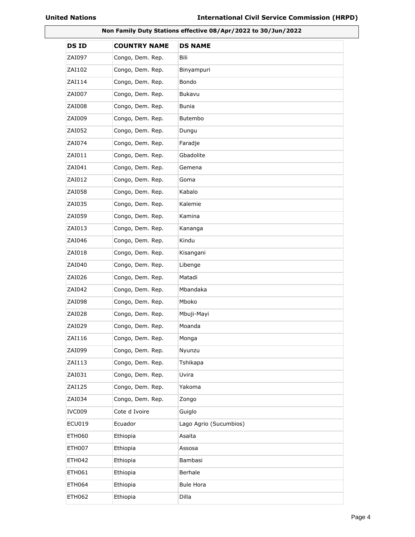|               | Non Family Duty Stations effective 08/Apr/2022 to 30/Jun/2022 |                        |  |
|---------------|---------------------------------------------------------------|------------------------|--|
| <b>DSID</b>   | <b>COUNTRY NAME</b>                                           | <b>DS NAME</b>         |  |
| ZAI097        | Congo, Dem. Rep.                                              | Bili                   |  |
| ZAI102        | Congo, Dem. Rep.                                              | Binyampuri             |  |
| ZAI114        | Congo, Dem. Rep.                                              | Bondo                  |  |
| ZAI007        | Congo, Dem. Rep.                                              | Bukavu                 |  |
| ZAI008        | Congo, Dem. Rep.                                              | Bunia                  |  |
| ZAI009        | Congo, Dem. Rep.                                              | Butembo                |  |
| ZAI052        | Congo, Dem. Rep.                                              | Dungu                  |  |
| ZAI074        | Congo, Dem. Rep.                                              | Faradje                |  |
| ZAI011        | Congo, Dem. Rep.                                              | Gbadolite              |  |
| ZAI041        | Congo, Dem. Rep.                                              | Gemena                 |  |
| ZAI012        | Congo, Dem. Rep.                                              | Goma                   |  |
| ZAI058        | Congo, Dem. Rep.                                              | Kabalo                 |  |
| ZAI035        | Congo, Dem. Rep.                                              | Kalemie                |  |
| ZAI059        | Congo, Dem. Rep.                                              | Kamina                 |  |
| ZAI013        | Congo, Dem. Rep.                                              | Kananga                |  |
| ZAI046        | Congo, Dem. Rep.                                              | Kindu                  |  |
| ZAI018        | Congo, Dem. Rep.                                              | Kisangani              |  |
| ZAI040        | Congo, Dem. Rep.                                              | Libenge                |  |
| ZAI026        | Congo, Dem. Rep.                                              | Matadi                 |  |
| ZAI042        | Congo, Dem. Rep.                                              | Mbandaka               |  |
| ZAI098        | Congo, Dem. Rep.                                              | Mboko                  |  |
| ZAI028        | Congo, Dem. Rep.                                              | Mbuji-Mayi             |  |
| ZAI029        | Congo, Dem. Rep.                                              | Moanda                 |  |
| ZAI116        | Congo, Dem. Rep.                                              | Monga                  |  |
| ZAI099        | Congo, Dem. Rep.                                              | Nyunzu                 |  |
| ZAI113        | Congo, Dem. Rep.                                              | Tshikapa               |  |
| ZAI031        | Congo, Dem. Rep.                                              | Uvira                  |  |
| ZAI125        | Congo, Dem. Rep.                                              | Yakoma                 |  |
| ZAI034        | Congo, Dem. Rep.                                              | Zongo                  |  |
| IVC009        | Cote d Ivoire                                                 | Guiglo                 |  |
| <b>ECU019</b> | Ecuador                                                       | Lago Agrio (Sucumbios) |  |
| <b>ETH060</b> | Ethiopia                                                      | Asaita                 |  |
| <b>ETH007</b> | Ethiopia                                                      | Assosa                 |  |
| <b>ETH042</b> | Ethiopia                                                      | Bambasi                |  |
| ETH061        | Ethiopia                                                      | Berhale                |  |
| <b>ETH064</b> | Ethiopia                                                      | <b>Bule Hora</b>       |  |
| <b>ETH062</b> | Ethiopia                                                      | Dilla                  |  |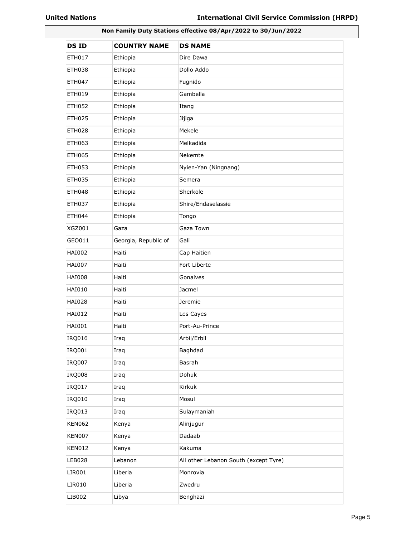| Non Family Duty Stations effective 08/Apr/2022 to 30/Jun/2022 |                      |                                       |
|---------------------------------------------------------------|----------------------|---------------------------------------|
| <b>DSID</b>                                                   | <b>COUNTRY NAME</b>  | <b>DS NAME</b>                        |
| ETH017                                                        | Ethiopia             | Dire Dawa                             |
| ETH038                                                        | Ethiopia             | Dollo Addo                            |
| ETH047                                                        | Ethiopia             | Fugnido                               |
| ETH019                                                        | Ethiopia             | Gambella                              |
| ETH052                                                        | Ethiopia             | Itang                                 |
| <b>ETH025</b>                                                 | Ethiopia             | Jijiga                                |
| <b>ETH028</b>                                                 | Ethiopia             | Mekele                                |
| ETH063                                                        | Ethiopia             | Melkadida                             |
| <b>ETH065</b>                                                 | Ethiopia             | Nekemte                               |
| ETH053                                                        | Ethiopia             | Nyien-Yan (Ningnang)                  |
| <b>ETH035</b>                                                 | Ethiopia             | Semera                                |
| ETH048                                                        | Ethiopia             | Sherkole                              |
| ETH037                                                        | Ethiopia             | Shire/Endaselassie                    |
| <b>ETH044</b>                                                 | Ethiopia             | Tongo                                 |
| <b>XGZ001</b>                                                 | Gaza                 | Gaza Town                             |
| GEO011                                                        | Georgia, Republic of | Gali                                  |
| <b>HAI002</b>                                                 | Haiti                | Cap Haitien                           |
| <b>HAI007</b>                                                 | Haiti                | Fort Liberte                          |
| <b>HAI008</b>                                                 | Haiti                | Gonaives                              |
| <b>HAI010</b>                                                 | Haiti                | Jacmel                                |
| HAI028                                                        | Haiti                | Jeremie                               |
| HAI012                                                        | Haiti                | Les Cayes                             |
| <b>HAI001</b>                                                 | Haiti                | Port-Au-Prince                        |
| IRQ016                                                        | Iraq                 | Arbil/Erbil                           |
| IRQ001                                                        | Iraq                 | Baghdad                               |
| <b>IRQ007</b>                                                 | Iraq                 | Basrah                                |
| <b>IRQ008</b>                                                 | Iraq                 | Dohuk                                 |
| IRQ017                                                        | Iraq                 | Kirkuk                                |
| IRQ010                                                        | Iraq                 | Mosul                                 |
| IRQ013                                                        | Iraq                 | Sulaymaniah                           |
| <b>KEN062</b>                                                 | Kenya                | Alinjugur                             |
| KEN007                                                        | Kenya                | Dadaab                                |
| <b>KEN012</b>                                                 | Kenya                | Kakuma                                |
| <b>LEB028</b>                                                 | Lebanon              | All other Lebanon South (except Tyre) |
| LIR001                                                        | Liberia              | Monrovia                              |
| LIR010                                                        | Liberia              | Zwedru                                |
| LIB002                                                        | Libya                | Benghazi                              |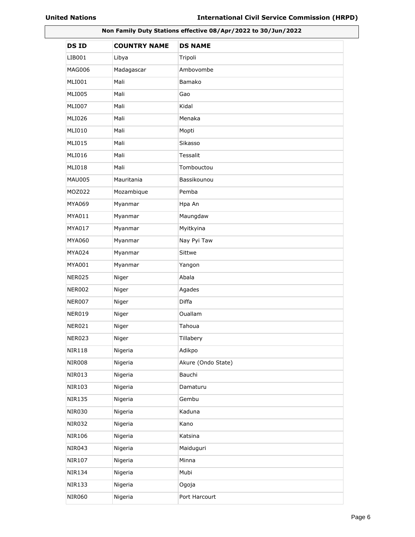| Non Family Duty Stations effective 08/Apr/2022 to 30/Jun/2022 |                     |                    |
|---------------------------------------------------------------|---------------------|--------------------|
| <b>DSID</b>                                                   | <b>COUNTRY NAME</b> | <b>DS NAME</b>     |
| LIB001                                                        | Libya               | Tripoli            |
| MAG006                                                        | Madagascar          | Ambovombe          |
| MLI001                                                        | Mali                | Bamako             |
| <b>MLI005</b>                                                 | Mali                | Gao                |
| MLI007                                                        | Mali                | Kidal              |
| MLI026                                                        | Mali                | Menaka             |
| MLI010                                                        | Mali                | Mopti              |
| <b>MLI015</b>                                                 | Mali                | Sikasso            |
| <b>MLI016</b>                                                 | Mali                | Tessalit           |
| <b>MLI018</b>                                                 | Mali                | Tombouctou         |
| <b>MAU005</b>                                                 | Mauritania          | Bassikounou        |
| MOZ022                                                        | Mozambique          | Pemba              |
| MYA069                                                        | Myanmar             | Hpa An             |
| MYA011                                                        | Myanmar             | Maungdaw           |
| MYA017                                                        | Myanmar             | Myitkyina          |
| MYA060                                                        | Myanmar             | Nay Pyi Taw        |
| MYA024                                                        | Myanmar             | Sittwe             |
| <b>MYA001</b>                                                 | Myanmar             | Yangon             |
| <b>NER025</b>                                                 | Niger               | Abala              |
| <b>NER002</b>                                                 | Niger               | Agades             |
| <b>NER007</b>                                                 | Niger               | Diffa              |
| <b>NER019</b>                                                 | Niger               | Ouallam            |
| NER021                                                        | Niger               | Tahoua             |
| <b>NER023</b>                                                 | Niger               | Tillabery          |
| <b>NIR118</b>                                                 | Nigeria             | Adikpo             |
| <b>NIR008</b>                                                 | Nigeria             | Akure (Ondo State) |
| <b>NIR013</b>                                                 | Nigeria             | Bauchi             |
| <b>NIR103</b>                                                 | Nigeria             | Damaturu           |
| <b>NIR135</b>                                                 | Nigeria             | Gembu              |
| <b>NIR030</b>                                                 | Nigeria             | Kaduna             |
| <b>NIR032</b>                                                 | Nigeria             | Kano               |
| <b>NIR106</b>                                                 | Nigeria             | Katsina            |
| <b>NIR043</b>                                                 | Nigeria             | Maiduguri          |
| <b>NIR107</b>                                                 | Nigeria             | Minna              |
| <b>NIR134</b>                                                 | Nigeria             | Mubi               |
| <b>NIR133</b>                                                 | Nigeria             | Ogoja              |
| <b>NIR060</b>                                                 | Nigeria             | Port Harcourt      |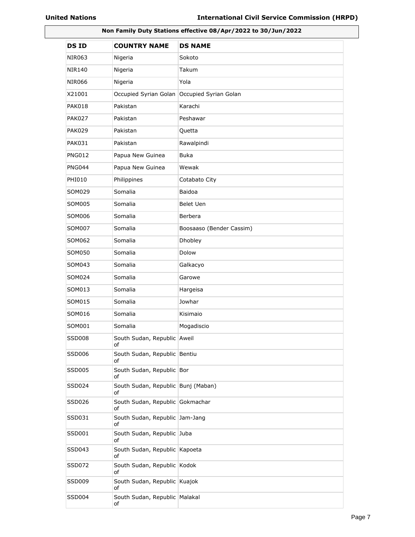| Non Family Duty Stations effective 08/Apr/2022 to 30/Jun/2022 |                                          |                          |
|---------------------------------------------------------------|------------------------------------------|--------------------------|
| <b>DSID</b>                                                   | <b>COUNTRY NAME</b>                      | <b>DS NAME</b>           |
| NIR063                                                        | Nigeria                                  | Sokoto                   |
| NIR140                                                        | Nigeria                                  | Takum                    |
| <b>NIR066</b>                                                 | Nigeria                                  | Yola                     |
| X21001                                                        | Occupied Syrian Golan                    | Occupied Syrian Golan    |
| PAK018                                                        | Pakistan                                 | Karachi                  |
| <b>PAK027</b>                                                 | Pakistan                                 | Peshawar                 |
| <b>PAK029</b>                                                 | Pakistan                                 | Quetta                   |
| PAK031                                                        | Pakistan                                 | Rawalpindi               |
| <b>PNG012</b>                                                 | Papua New Guinea                         | <b>Buka</b>              |
| <b>PNG044</b>                                                 | Papua New Guinea                         | Wewak                    |
| PHI010                                                        | Philippines                              | Cotabato City            |
| SOM029                                                        | Somalia                                  | <b>Baidoa</b>            |
| SOM005                                                        | Somalia                                  | Belet Uen                |
| SOM006                                                        | Somalia                                  | Berbera                  |
| SOM007                                                        | Somalia                                  | Boosaaso (Bender Cassim) |
| SOM062                                                        | Somalia                                  | Dhobley                  |
| SOM050                                                        | Somalia                                  | Dolow                    |
| SOM043                                                        | Somalia                                  | Galkacyo                 |
| SOM024                                                        | Somalia                                  | Garowe                   |
| SOM013                                                        | Somalia                                  | Hargeisa                 |
| SOM015                                                        | Somalia                                  | Jowhar                   |
| SOM016                                                        | Somalia                                  | Kisimaio                 |
| SOM001                                                        | Somalia                                  | Mogadiscio               |
| <b>SSD008</b>                                                 | South Sudan, Republic Aweil<br>οf        |                          |
| SSD006                                                        | South Sudan, Republic Bentiu<br>οf       |                          |
| SSD005                                                        | South Sudan, Republic Bor<br>οf          |                          |
| SSD024                                                        | South Sudan, Republic Bunj (Maban)<br>of |                          |
| SSD026                                                        | South Sudan, Republic Gokmachar<br>of    |                          |
| SSD031                                                        | South Sudan, Republic Jam-Jang<br>οf     |                          |
| SSD001                                                        | South Sudan, Republic Juba<br>of         |                          |
| SSD043                                                        | South Sudan, Republic Kapoeta<br>of      |                          |
| <b>SSD072</b>                                                 | South Sudan, Republic Kodok<br>of        |                          |
| SSD009                                                        | South Sudan, Republic Kuajok<br>οf       |                          |
| SSD004                                                        | South Sudan, Republic Malakal<br>οf      |                          |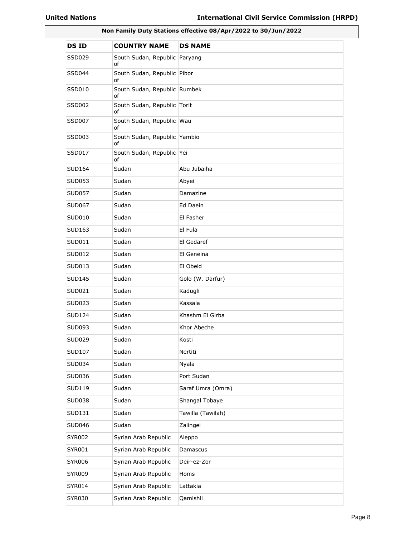| Non Family Duty Stations effective 08/Apr/2022 to 30/Jun/2022 |                                    |                   |
|---------------------------------------------------------------|------------------------------------|-------------------|
| <b>DSID</b>                                                   | <b>COUNTRY NAME</b>                | <b>DS NAME</b>    |
| SSD029                                                        | South Sudan, Republic<br>of        | Paryang           |
| SSD044                                                        | South Sudan, Republic Pibor<br>of  |                   |
| SSD010                                                        | South Sudan, Republic Rumbek<br>of |                   |
| SSD002                                                        | South Sudan, Republic Torit<br>of  |                   |
| SSD007                                                        | South Sudan, Republic Wau<br>of    |                   |
| SSD003                                                        | South Sudan, Republic Yambio<br>of |                   |
| SSD017                                                        | South Sudan, Republic Yei<br>of    |                   |
| SUD164                                                        | Sudan                              | Abu Jubaiha       |
| SUD053                                                        | Sudan                              | Abyei             |
| <b>SUD057</b>                                                 | Sudan                              | Damazine          |
| <b>SUD067</b>                                                 | Sudan                              | Ed Daein          |
| SUD010                                                        | Sudan                              | El Fasher         |
| SUD163                                                        | Sudan                              | El Fula           |
| SUD011                                                        | Sudan                              | El Gedaref        |
| <b>SUD012</b>                                                 | Sudan                              | El Geneina        |
| SUD013                                                        | Sudan                              | El Obeid          |
| <b>SUD145</b>                                                 | Sudan                              | Golo (W. Darfur)  |
| SUD021                                                        | Sudan                              | Kadugli           |
| SUD023                                                        | Sudan                              | Kassala           |
| SUD124                                                        | Sudan                              | Khashm El Girba   |
| SUD093                                                        | Sudan                              | Khor Abeche       |
| SUD029                                                        | Sudan                              | Kosti             |
| SUD107                                                        | Sudan                              | Nertiti           |
| SUD034                                                        | Sudan                              | Nyala             |
| SUD036                                                        | Sudan                              | Port Sudan        |
| SUD119                                                        | Sudan                              | Saraf Umra (Omra) |
| <b>SUD038</b>                                                 | Sudan                              | Shangal Tobaye    |
| SUD131                                                        | Sudan                              | Tawilla (Tawilah) |
| <b>SUD046</b>                                                 | Sudan                              | Zalingei          |
| <b>SYR002</b>                                                 | Syrian Arab Republic               | Aleppo            |
| SYR001                                                        | Syrian Arab Republic               | Damascus          |
| <b>SYR006</b>                                                 | Syrian Arab Republic               | Deir-ez-Zor       |
| SYR009                                                        | Syrian Arab Republic               | Homs              |
| SYR014                                                        | Syrian Arab Republic               | Lattakia          |
| SYR030                                                        | Syrian Arab Republic               | Qamishli          |